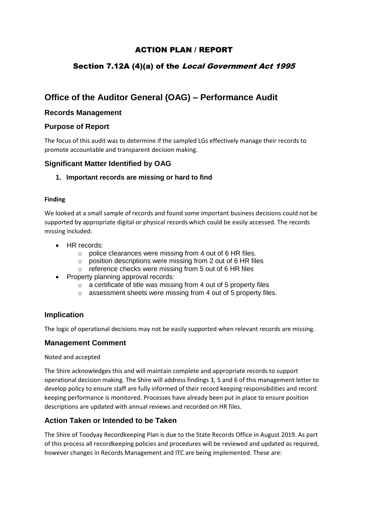## ACTION PLAN / REPORT

# Section 7.12A (4)(a) of the Local Government Act 1995

# **Office of the Auditor General (OAG) – Performance Audit**

### **Records Management**

### **Purpose of Report**

The focus of this audit was to determine if the sampled LGs effectively manage their records to promote accountable and transparent decision making.

### **Significant Matter Identified by OAG**

#### **1. Important records are missing or hard to find**

#### **Finding**

We looked at a small sample of records and found some important business decisions could not be supported by appropriate digital or physical records which could be easily accessed. The records missing included:

- HR records:
	- o police clearances were missing from 4 out of 6 HR files.
	- o position descriptions were missing from 2 out of 6 HR files
	- o reference checks were missing from 5 out of 6 HR files
- Property planning approval records:
	- o a certificate of title was missing from 4 out of 5 property files
	- o assessment sheets were missing from 4 out of 5 property files.

#### **Implication**

The logic of operational decisions may not be easily supported when relevant records are missing.

#### **Management Comment**

#### Noted and accepted

The Shire acknowledges this and will maintain complete and appropriate records to support operational decision making. The Shire will address findings 3, 5 and 6 of this management letter to develop policy to ensure staff are fully informed of their record keeping responsibilities and record keeping performance is monitored. Processes have already been put in place to ensure position descriptions are updated with annual reviews and recorded on HR files.

### **Action Taken or Intended to be Taken**

The Shire of Toodyay Recordkeeping Plan is due to the State Records Office in August 2019. As part of this process all recordkeeping policies and procedures will be reviewed and updated as required, however changes in Records Management and ITC are being implemented. These are: